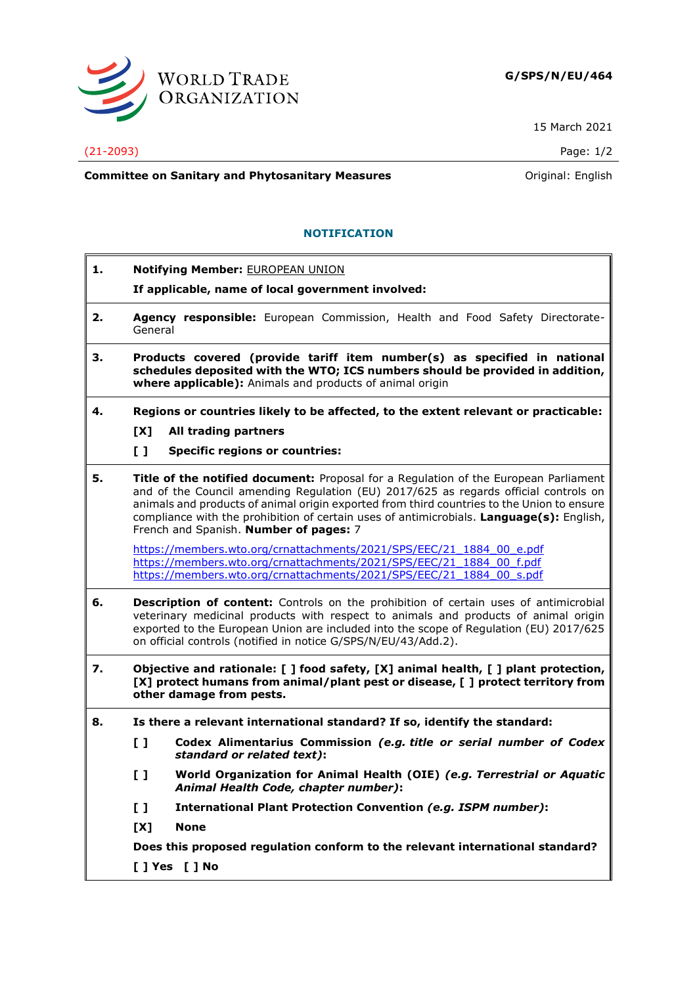

15 March 2021

**Committee on Sanitary and Phytosanitary Measures Committee on Sanitary and Phytosanitary Measures Committee And American** 

## **NOTIFICATION**

**1. Notifying Member:** EUROPEAN UNION **If applicable, name of local government involved: 2. Agency responsible:** European Commission, Health and Food Safety Directorate-General **3. Products covered (provide tariff item number(s) as specified in national schedules deposited with the WTO; ICS numbers should be provided in addition, where applicable):** Animals and products of animal origin **4. Regions or countries likely to be affected, to the extent relevant or practicable: [X] All trading partners [ ] Specific regions or countries: 5. Title of the notified document:** Proposal for a Regulation of the European Parliament and of the Council amending Regulation (EU) 2017/625 as regards official controls on animals and products of animal origin exported from third countries to the Union to ensure compliance with the prohibition of certain uses of antimicrobials. **Language(s):** English, French and Spanish. **Number of pages:** 7 [https://members.wto.org/crnattachments/2021/SPS/EEC/21\\_1884\\_00\\_e.pdf](https://members.wto.org/crnattachments/2021/SPS/EEC/21_1884_00_e.pdf) [https://members.wto.org/crnattachments/2021/SPS/EEC/21\\_1884\\_00\\_f.pdf](https://members.wto.org/crnattachments/2021/SPS/EEC/21_1884_00_f.pdf) [https://members.wto.org/crnattachments/2021/SPS/EEC/21\\_1884\\_00\\_s.pdf](https://members.wto.org/crnattachments/2021/SPS/EEC/21_1884_00_s.pdf) **6. Description of content:** Controls on the prohibition of certain uses of antimicrobial veterinary medicinal products with respect to animals and products of animal origin exported to the European Union are included into the scope of Regulation (EU) 2017/625 on official controls (notified in notice G/SPS/N/EU/43/Add.2). **7. Objective and rationale: [ ] food safety, [X] animal health, [ ] plant protection, [X] protect humans from animal/plant pest or disease, [ ] protect territory from other damage from pests. 8. Is there a relevant international standard? If so, identify the standard: [ ] Codex Alimentarius Commission** *(e.g. title or serial number of Codex standard or related text)***: [ ] World Organization for Animal Health (OIE)** *(e.g. Terrestrial or Aquatic Animal Health Code, chapter number)***: [ ] International Plant Protection Convention** *(e.g. ISPM number)***: [X] None Does this proposed regulation conform to the relevant international standard? [ ] Yes [ ] No**